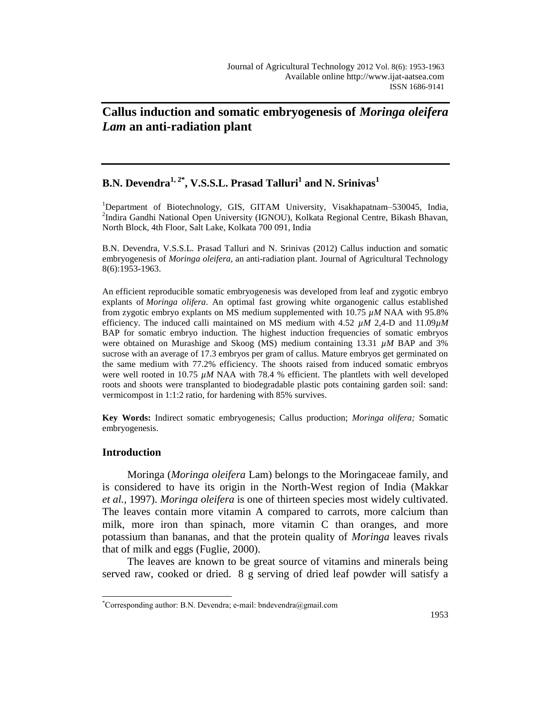# **Callus induction and somatic embryogenesis of** *Moringa oleifera Lam* **an anti-radiation plant**

## **B.N. Devendra1, 2\* , V.S.S.L. Prasad Talluri<sup>1</sup> and N. Srinivas<sup>1</sup>**

<sup>1</sup>Department of Biotechnology, GIS, GITAM University, Visakhapatnam–530045, India, <sup>2</sup>Indira Gandhi National Open University (IGNOU), Kolkata Regional Centre, Bikash Bhavan, North Block, 4th Floor, Salt Lake, Kolkata 700 091, India

B.N. Devendra, V.S.S.L. Prasad Talluri and N. Srinivas (2012) Callus induction and somatic embryogenesis of *Moringa oleifera*, an anti-radiation plant. Journal of Agricultural Technology 8(6):1953-1963.

An efficient reproducible somatic embryogenesis was developed from leaf and zygotic embryo explants of *Moringa olifera*. An optimal fast growing white organogenic callus established from zygotic embryo explants on MS medium supplemented with 10.75 *µM* NAA with 95.8% efficiency. The induced calli maintained on MS medium with 4.52 *µM* 2,4-D and 11.09*µM* BAP for somatic embryo induction. The highest induction frequencies of somatic embryos were obtained on Murashige and Skoog (MS) medium containing 13.31 *µM* BAP and 3% sucrose with an average of 17.3 embryos per gram of callus. Mature embryos get germinated on the same medium with 77.2% efficiency. The shoots raised from induced somatic embryos were well rooted in 10.75  $\mu$ M NAA with 78.4 % efficient. The plantlets with well developed roots and shoots were transplanted to biodegradable plastic pots containing garden soil: sand: vermicompost in 1:1:2 ratio, for hardening with 85% survives.

**Key Words:** Indirect somatic embryogenesis; Callus production; *Moringa olifera;* Somatic embryogenesis.

## **Introduction**

 $\overline{a}$ 

Moringa (*Moringa oleifera* Lam) belongs to the Moringaceae family, and is considered to have its origin in the North-West region of India (Makkar *et al.,* 1997). *Moringa oleifera* is one of thirteen species most widely cultivated. The leaves contain more vitamin A compared to carrots, more calcium than milk, more iron than spinach, more vitamin C than oranges, and more potassium than bananas, and that the protein quality of *Moringa* leaves rivals that of milk and eggs (Fuglie*,* 2000).

The leaves are known to be great source of vitamins and minerals being served raw, cooked or dried. 8 g serving of dried leaf powder will satisfy a

<sup>\*</sup>Corresponding author: B.N. Devendra; e-mail: bndevendra@gmail.com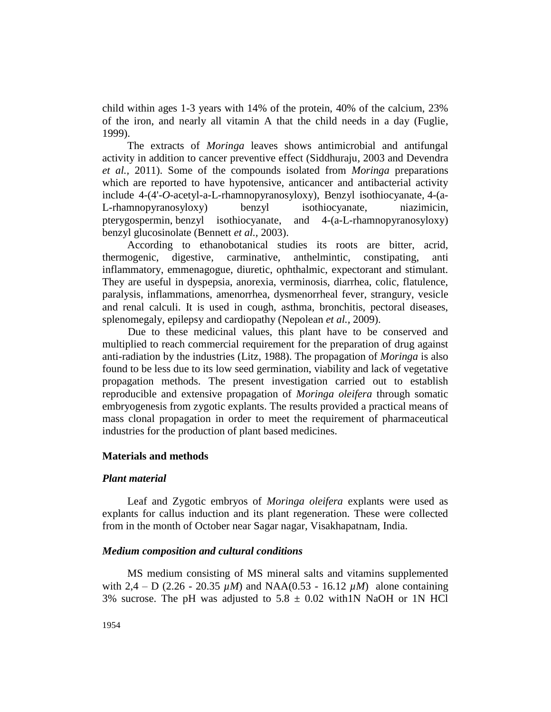child within ages 1-3 years with 14% of the protein, 40% of the calcium, 23% of the iron, and nearly all vitamin A that the child needs in a day (Fuglie*,* 1999).

The extracts of *Moringa* leaves shows antimicrobial and antifungal activity in addition to cancer preventive effect (Siddhuraju*,* 2003 and Devendra *et al.,* 2011). Some of the compounds isolated from *Moringa* preparations which are reported to have hypotensive, anticancer and antibacterial activity include 4-(4'-*O-*acetyl-a-L-rhamnopyranosyloxy), Benzyl isothiocyanate, 4-(a-L-rhamnopyranosyloxy) benzyl isothiocyanate, niazimicin, pterygospermin, benzyl isothiocyanate, and 4-(a-L-rhamnopyranosyloxy) benzyl glucosinolate (Bennett *et al.,* 2003).

According to ethanobotanical studies its roots are bitter, acrid, thermogenic, digestive, carminative, anthelmintic, constipating, anti inflammatory, emmenagogue, diuretic, ophthalmic, expectorant and stimulant. They are useful in dyspepsia, anorexia, verminosis, diarrhea, colic, flatulence, paralysis, inflammations, amenorrhea, dysmenorrheal fever, strangury, vesicle and renal calculi. It is used in cough, asthma, bronchitis, pectoral diseases, splenomegaly, epilepsy and cardiopathy (Nepolean *et al.,* 2009).

Due to these medicinal values, this plant have to be conserved and multiplied to reach commercial requirement for the preparation of drug against anti-radiation by the industries (Litz*,* 1988). The propagation of *Moringa* is also found to be less due to its low seed germination, viability and lack of vegetative propagation methods. The present investigation carried out to establish reproducible and extensive propagation of *Moringa oleifera* through somatic embryogenesis from zygotic explants. The results provided a practical means of mass clonal propagation in order to meet the requirement of pharmaceutical industries for the production of plant based medicines.

#### **Materials and methods**

### *Plant material*

Leaf and Zygotic embryos of *Moringa oleifera* explants were used as explants for callus induction and its plant regeneration. These were collected from in the month of October near Sagar nagar, Visakhapatnam, India.

#### *Medium composition and cultural conditions*

MS medium consisting of MS mineral salts and vitamins supplemented with 2,4 – D (2.26 - 20.35  $\mu$ *M*) and NAA(0.53 - 16.12  $\mu$ *M*) alone containing 3% sucrose. The pH was adjusted to  $5.8 \pm 0.02$  with 1N NaOH or 1N HCl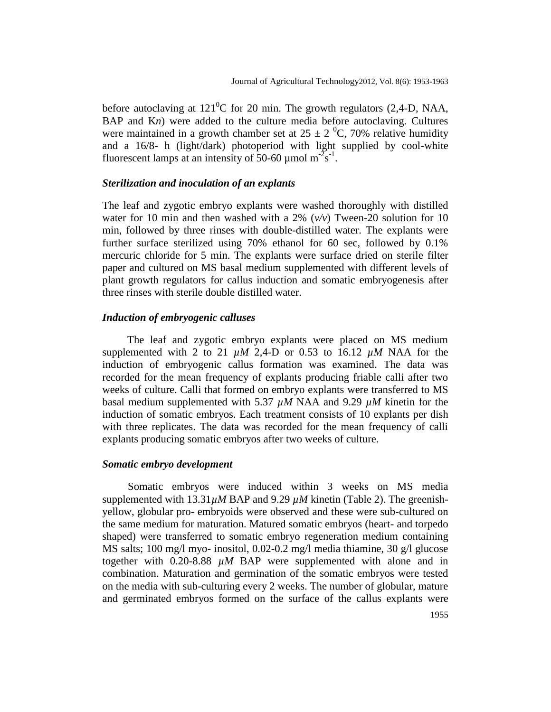before autoclaving at  $121^0C$  for 20 min. The growth regulators (2,4-D, NAA, BAP and Kn) were added to the culture media before autoclaving. Cultures were maintained in a growth chamber set at  $25 \pm 2$  °C, 70% relative humidity and a 16/8- h (light/dark) photoperiod with light supplied by cool-white fluorescent lamps at an intensity of 50-60 µmol  $m^2s^{-1}$ .

#### *Sterilization and inoculation of an explants*

The leaf and zygotic embryo explants were washed thoroughly with distilled water for 10 min and then washed with a 2% (*v/v*) Tween-20 solution for 10 min, followed by three rinses with double-distilled water. The explants were further surface sterilized using 70% ethanol for 60 sec, followed by 0.1% mercuric chloride for 5 min. The explants were surface dried on sterile filter paper and cultured on MS basal medium supplemented with different levels of plant growth regulators for callus induction and somatic embryogenesis after three rinses with sterile double distilled water.

## *Induction of embryogenic calluses*

The leaf and zygotic embryo explants were placed on MS medium supplemented with 2 to 21  $\mu$ M 2,4-D or 0.53 to 16.12  $\mu$ M NAA for the induction of embryogenic callus formation was examined. The data was recorded for the mean frequency of explants producing friable calli after two weeks of culture. Calli that formed on embryo explants were transferred to MS basal medium supplemented with 5.37 *µM* NAA and 9.29 *µM* kinetin for the induction of somatic embryos. Each treatment consists of 10 explants per dish with three replicates. The data was recorded for the mean frequency of calli explants producing somatic embryos after two weeks of culture.

#### *Somatic embryo development*

Somatic embryos were induced within 3 weeks on MS media supplemented with  $13.31 \mu M$  BAP and  $9.29 \mu M$  kinetin (Table 2). The greenishyellow, globular pro- embryoids were observed and these were sub-cultured on the same medium for maturation. Matured somatic embryos (heart- and torpedo shaped) were transferred to somatic embryo regeneration medium containing MS salts; 100 mg/l myo- inositol, 0.02-0.2 mg/l media thiamine, 30 g/l glucose together with 0.20-8.88 *µM* BAP were supplemented with alone and in combination. Maturation and germination of the somatic embryos were tested on the media with sub-culturing every 2 weeks. The number of globular, mature and germinated embryos formed on the surface of the callus explants were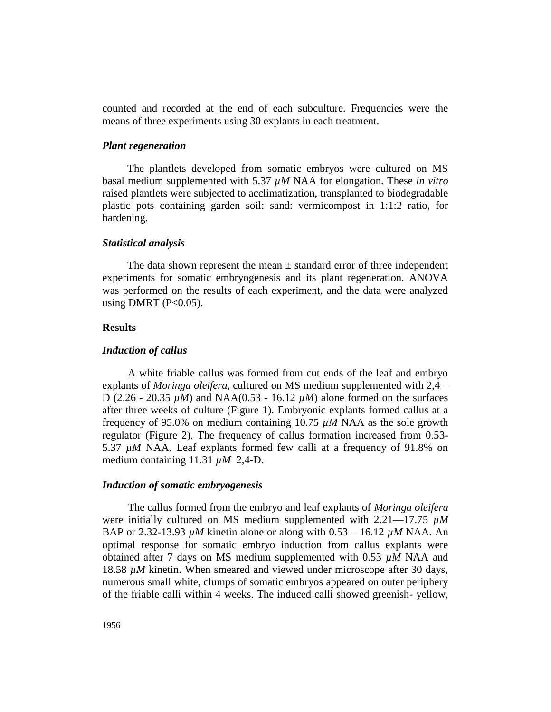counted and recorded at the end of each subculture. Frequencies were the means of three experiments using 30 explants in each treatment.

#### *Plant regeneration*

The plantlets developed from somatic embryos were cultured on MS basal medium supplemented with 5.37 *µM* NAA for elongation. These *in vitro* raised plantlets were subjected to acclimatization, transplanted to biodegradable plastic pots containing garden soil: sand: vermicompost in 1:1:2 ratio, for hardening.

### *Statistical analysis*

The data shown represent the mean  $\pm$  standard error of three independent experiments for somatic embryogenesis and its plant regeneration. ANOVA was performed on the results of each experiment, and the data were analyzed using DMRT ( $P<0.05$ ).

## **Results**

#### *Induction of callus*

A white friable callus was formed from cut ends of the leaf and embryo explants of *Moringa oleifera*, cultured on MS medium supplemented with 2,4 – D (2.26 - 20.35 *µM*) and NAA(0.53 - 16.12 *µM*) alone formed on the surfaces after three weeks of culture (Figure 1). Embryonic explants formed callus at a frequency of 95.0% on medium containing 10.75 *µM* NAA as the sole growth regulator (Figure 2). The frequency of callus formation increased from 0.53- 5.37 *uM* NAA. Leaf explants formed few calli at a frequency of 91.8% on medium containing 11.31 *µM* 2,4-D.

#### *Induction of somatic embryogenesis*

The callus formed from the embryo and leaf explants of *Moringa oleifera* were initially cultured on MS medium supplemented with 2.21—17.75 *µM* BAP or 2.32-13.93 *µM* kinetin alone or along with 0.53 – 16.12 *µM* NAA. An optimal response for somatic embryo induction from callus explants were obtained after 7 days on MS medium supplemented with 0.53 *µM* NAA and 18.58 *µM* kinetin. When smeared and viewed under microscope after 30 days, numerous small white, clumps of somatic embryos appeared on outer periphery of the friable calli within 4 weeks. The induced calli showed greenish- yellow,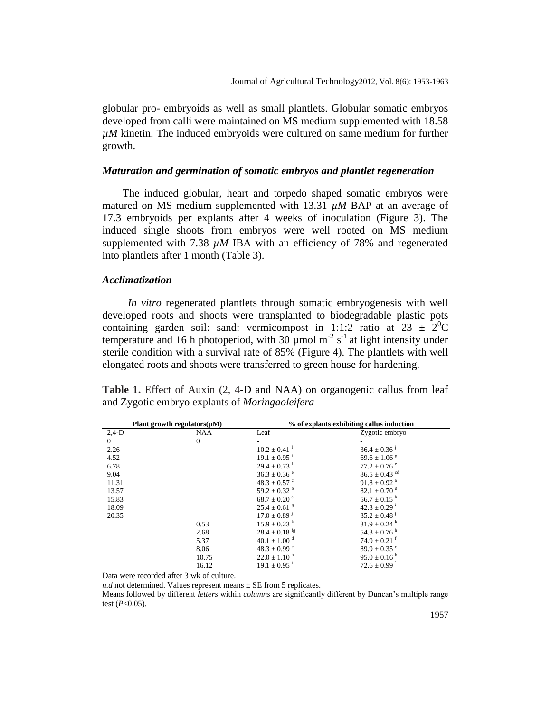globular pro- embryoids as well as small plantlets. Globular somatic embryos developed from calli were maintained on MS medium supplemented with 18.58 *µM* kinetin. The induced embryoids were cultured on same medium for further growth.

## *Maturation and germination of somatic embryos and plantlet regeneration*

The induced globular, heart and torpedo shaped somatic embryos were matured on MS medium supplemented with 13.31  $\mu$ M BAP at an average of 17.3 embryoids per explants after 4 weeks of inoculation (Figure 3). The induced single shoots from embryos were well rooted on MS medium supplemented with 7.38 *µM* IBA with an efficiency of 78% and regenerated into plantlets after 1 month (Table 3).

## *Acclimatization*

*In vitro* regenerated plantlets through somatic embryogenesis with well developed roots and shoots were transplanted to biodegradable plastic pots containing garden soil: sand: vermicompost in 1:1:2 ratio at  $23 \pm 2^{0}C$ temperature and 16 h photoperiod, with  $30 \mu$ mol m<sup>-2</sup> s<sup>-1</sup> at light intensity under sterile condition with a survival rate of 85% (Figure 4). The plantlets with well elongated roots and shoots were transferred to green house for hardening.

|  |                                                       |  |  | <b>Table 1.</b> Effect of Auxin (2, 4-D and NAA) on organogenic callus from leaf |  |  |
|--|-------------------------------------------------------|--|--|----------------------------------------------------------------------------------|--|--|
|  | and Zygotic embryo explants of <i>Moringaoleifera</i> |  |  |                                                                                  |  |  |

| Plant growth regulators $(\mu M)$ |            | % of explants exhibiting callus induction |                               |  |
|-----------------------------------|------------|-------------------------------------------|-------------------------------|--|
| $2,4-D$                           | <b>NAA</b> | Leaf                                      | Zygotic embryo                |  |
| $\overline{0}$                    | $\theta$   |                                           |                               |  |
| 2.26                              |            | $10.2 \pm 0.41$                           | $36.4 \pm 0.36$ <sup>J</sup>  |  |
| 4.52                              |            | $19.1 \pm 0.95$ <sup>i</sup>              | $69.6 \pm 1.06$ <sup>g</sup>  |  |
| 6.78                              |            | $29.4 \pm 0.73$ <sup>f</sup>              | $77.2 \pm 0.76$ <sup>e</sup>  |  |
| 9.04                              |            | $36.3 \pm 0.36$ <sup>e</sup>              | $86.5 \pm 0.43$ <sup>cd</sup> |  |
| 11.31                             |            | $48.3 \pm 0.57$ °                         | $91.8 + 0.92$ <sup>a</sup>    |  |
| 13.57                             |            | $59.2 \pm 0.32^{\mathrm{b}}$              | $82.1 \pm 0.70$ <sup>d</sup>  |  |
| 15.83                             |            | $68.7 \pm 0.20$ <sup>a</sup>              | $56.7 \pm 0.15$ <sup>h</sup>  |  |
| 18.09                             |            | $25.4 \pm 0.61$ <sup>g</sup>              | $42.3 \pm 0.29$ <sup>i</sup>  |  |
| 20.35                             |            | $17.0 \pm 0.89$ <sup>j</sup>              | $35.2 \pm 0.48$ <sup>j</sup>  |  |
|                                   | 0.53       | $15.9 \pm 0.23$ <sup>k</sup>              | $31.9 \pm 0.24$ <sup>k</sup>  |  |
|                                   | 2.68       | $28.4 \pm 0.18$ <sup>fg</sup>             | $54.3 \pm 0.76$ <sup>h</sup>  |  |
|                                   | 5.37       | $40.1 \pm 1.00$ <sup>d</sup>              | $74.9 \pm 0.21$ <sup>f</sup>  |  |
|                                   | 8.06       | $48.3 \pm 0.99$ °                         | $89.9 \pm 0.35$ °             |  |
|                                   | 10.75      | $22.0 \pm 1.10^{\text{ h}}$               | $95.0 \pm 0.16^{\text{ b}}$   |  |
|                                   | 16.12      | $19.1 \pm 0.95$ <sup>i</sup>              | $72.6 \pm 0.99$ <sup>f</sup>  |  |

Data were recorded after 3 wk of culture.

*n.d* not determined. Values represent means  $\pm$  SE from 5 replicates.

Means followed by different *letters* within *columns* are significantly different by Duncan's multiple range test (*P*<0.05).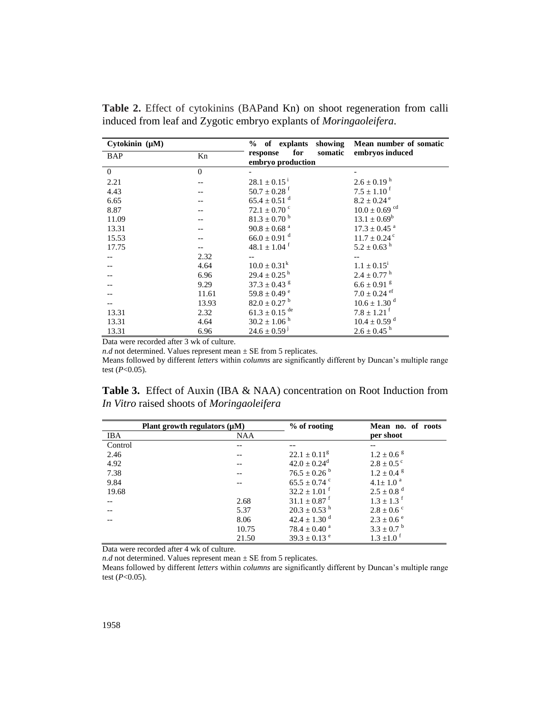| Cytokinin $(\mu M)$ |              | % of explants showing                           | Mean number of somatic        |
|---------------------|--------------|-------------------------------------------------|-------------------------------|
| <b>BAP</b>          | Kn           | for<br>somatic<br>response<br>embryo production | embryos induced               |
| $\overline{0}$      | $\mathbf{0}$ |                                                 |                               |
| 2.21                |              | $28.1 \pm 0.15^{\text{ i}}$                     | $2.6 \pm 0.19$ <sup>h</sup>   |
| 4.43                |              | $50.7 \pm 0.28$ <sup>f</sup>                    | $7.5 \pm 1.10^{\text{ f}}$    |
| 6.65                |              | $65.4 \pm 0.51$ <sup>d</sup>                    | $8.2 \pm 0.24$ <sup>e</sup>   |
| 8.87                |              | $72.1 \pm 0.70$ <sup>c</sup>                    | $10.0 \pm 0.69$ <sup>cd</sup> |
| 11.09               |              | $81.3 \pm 0.70$ <sup>b</sup>                    | $13.1 \pm 0.69^b$             |
| 13.31               |              | $90.8 \pm 0.68$ <sup>a</sup>                    | $17.3 \pm 0.45$ <sup>a</sup>  |
| 15.53               |              | $66.0 \pm 0.91$ <sup>d</sup>                    | $11.7 \pm 0.24$ <sup>c</sup>  |
| 17.75               |              | $48.1 \pm 1.04$ <sup>f</sup>                    | $5.2 \pm 0.63$ <sup>h</sup>   |
|                     | 2.32         |                                                 |                               |
|                     | 4.64         | $10.0 \pm 0.31^k$                               | $1.1 \pm 0.15^{\rm i}$        |
|                     | 6.96         | $29.4 \pm 0.25$ <sup>h</sup>                    | $2.4 \pm 0.77$ <sup>h</sup>   |
|                     | 9.29         | $37.3\pm0.43$ $^{\rm g}$                        | $6.6 \pm 0.91$ <sup>g</sup>   |
|                     | 11.61        | $59.8 \pm 0.49$ <sup>e</sup>                    | $7.0 \pm 0.24$ ef             |
|                     | 13.93        | $82.0 \pm 0.27$ <sup>b</sup>                    | $10.6 \pm 1.30$ <sup>d</sup>  |
| 13.31               | 2.32         | $61.3 \pm 0.15$ <sup>de</sup>                   | $7.8 \pm 1.21$ <sup>f</sup>   |
| 13.31               | 4.64         | $30.2 \pm 1.06$ <sup>h</sup>                    | $10.4 \pm 0.59$ <sup>d</sup>  |
| 13.31               | 6.96         | $24.6 \pm 0.59$ <sup>J</sup>                    | $2.6 \pm 0.45$ <sup>h</sup>   |
|                     |              |                                                 |                               |

**Table 2.** Effect of cytokinins (BAPand Kn) on shoot regeneration from calli induced from leaf and Zygotic embryo explants of *Moringaoleifera*.

Data were recorded after 3 wk of culture.

*n.d* not determined. Values represent mean  $\pm$  SE from 5 replicates.

Means followed by different *letters* within *columns* are significantly different by Duncan's multiple range test (*P*<0.05).

| <b>Table 3.</b> Effect of Auxin (IBA & NAA) concentration on Root Induction from |  |
|----------------------------------------------------------------------------------|--|
| In Vitro raised shoots of Moringaoleifera                                        |  |

|         | Plant growth regulators $(\mu M)$ | $%$ of rooting               | Mean no. of roots          |
|---------|-----------------------------------|------------------------------|----------------------------|
| IBA     | <b>NAA</b>                        |                              | per shoot                  |
| Control |                                   |                              |                            |
| 2.46    |                                   | $22.1 \pm 0.11^g$            | $1.2 \pm 0.6$ s            |
| 4.92    |                                   | $42.0 \pm 0.24$ <sup>d</sup> | $2.8 \pm 0.5$ c            |
| 7.38    |                                   | $76.5 \pm 0.26^{\circ}$      | $1.2 \pm 0.4$ $\rm{g}$     |
| 9.84    |                                   | $65.5 \pm 0.74$ °            | $4.1 \pm 1.0^{a}$          |
| 19.68   |                                   | $32.2 \pm 1.01$ <sup>f</sup> | $2.5 \pm 0.8$ <sup>d</sup> |
|         | 2.68                              | $31.1 \pm 0.87$ <sup>f</sup> | $1.3 \pm 1.3$ <sup>f</sup> |
|         | 5.37                              | $20.3 \pm 0.53$ <sup>h</sup> | $2.8 \pm 0.6$ °            |
|         | 8.06                              | $42.4 \pm 1.30$ <sup>d</sup> | $2.3 \pm 0.6$ <sup>e</sup> |
|         | 10.75                             | $78.4 \pm 0.40^{\text{a}}$   | $3.3 \pm 0.7^{\circ}$      |
|         | 21.50                             | $39.3 \pm 0.13$ <sup>e</sup> | $1.3 + 1.0$ <sup>f</sup>   |

Data were recorded after 4 wk of culture.

 $n.d$  not determined. Values represent mean  $\pm$  SE from 5 replicates.

Means followed by different *letters* within *columns* are significantly different by Duncan's multiple range test (*P*<0.05).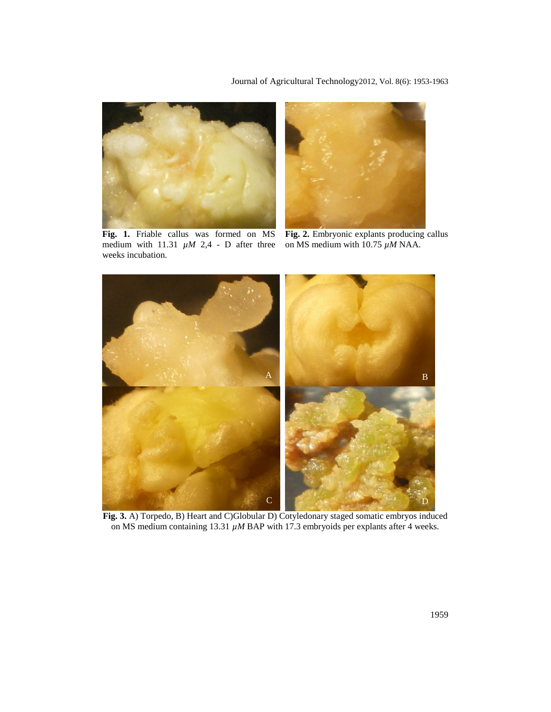Journal of Agricultural Technology2012, Vol. 8(6): 1953-1963





**Fig. 1.** Friable callus was formed on MS medium with  $11.31 \mu M$  2,4 - D after three weeks incubation.

**Fig. 2.** Embryonic explants producing callus on MS medium with 10.75 *µM* NAA.



**Fig. 3.** A) Torpedo, B) Heart and C)Globular D) Cotyledonary staged somatic embryos induced on MS medium containing 13.31 *µM* BAP with 17.3 embryoids per explants after 4 weeks.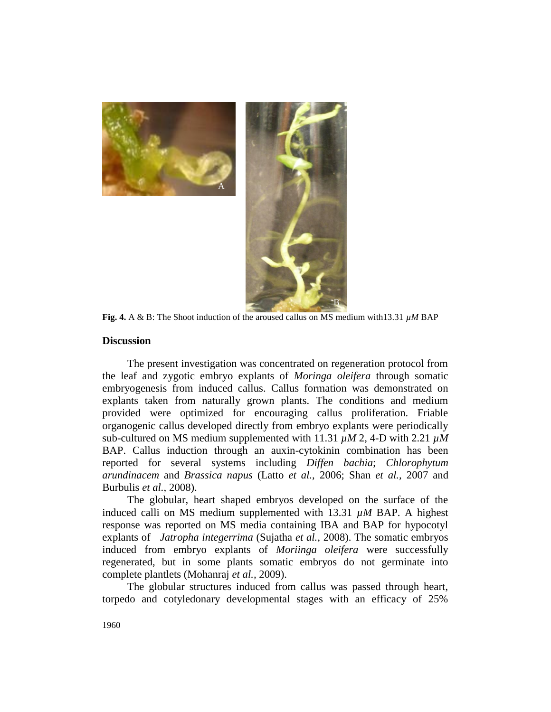



**Fig. 4.** A & B: The Shoot induction of the aroused callus on MS medium with13.31 *µM* BAP

#### **Discussion**

The present investigation was concentrated on regeneration protocol from the leaf and zygotic embryo explants of *Moringa oleifera* through somatic embryogenesis from induced callus. Callus formation was demonstrated on explants taken from naturally grown plants. The conditions and medium provided were optimized for encouraging callus proliferation. Friable organogenic callus developed directly from embryo explants were periodically sub-cultured on MS medium supplemented with 11.31 *µM* 2, 4-D with 2.21 *µM* BAP. Callus induction through an auxin-cytokinin combination has been reported for several systems including *Diffen bachia*; *Chlorophytum arundinacem* and *Brassica napus* (Latto *et al.,* 2006; Shan *et al.,* 2007 and Burbulis *et al.,* 2008).

The globular, heart shaped embryos developed on the surface of the induced calli on MS medium supplemented with 13.31 *µM* BAP. A highest response was reported on MS media containing IBA and BAP for hypocotyl explants of *Jatropha integerrima* (Sujatha *et al.,* 2008). The somatic embryos induced from embryo explants of *Moriinga oleifera* were successfully regenerated, but in some plants somatic embryos do not germinate into complete plantlets (Mohanraj *et al.,* 2009).

The globular structures induced from callus was passed through heart, torpedo and cotyledonary developmental stages with an efficacy of 25%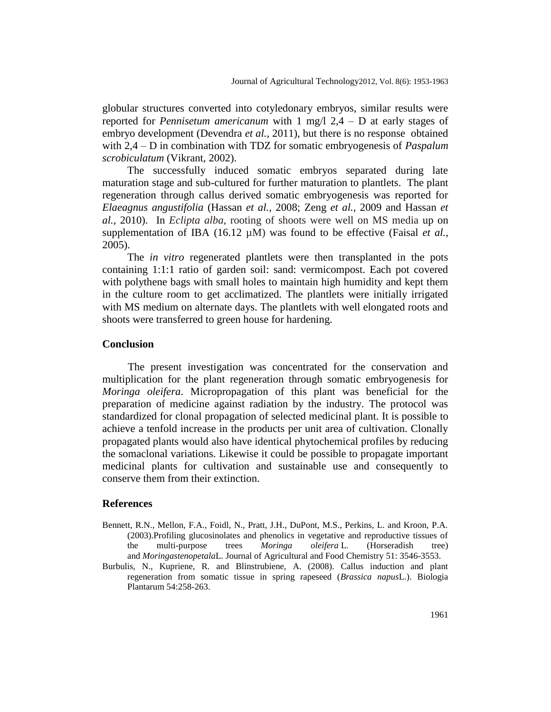globular structures converted into cotyledonary embryos, similar results were reported for *Pennisetum americanum* with 1 mg/l 2,4 – D at early stages of embryo development (Devendra *et al.,* 2011), but there is no response obtained with 2,4 – D in combination with TDZ for somatic embryogenesis of *Paspalum scrobiculatum* (Vikrant*,* 2002).

The successfully induced somatic embryos separated during late maturation stage and sub-cultured for further maturation to plantlets. The plant regeneration through callus derived somatic embryogenesis was reported for *Elaeagnus angustifolia* (Hassan *et al.,* 2008; Zeng *et al.,* 2009 and Hassan *et al.,* 2010). In *Eclipta alba,* rooting of shoots were well on MS media up on supplementation of IBA (16.12 µM) was found to be effective (Faisal *et al.*, 2005).

The *in vitro* regenerated plantlets were then transplanted in the pots containing 1:1:1 ratio of garden soil: sand: vermicompost. Each pot covered with polythene bags with small holes to maintain high humidity and kept them in the culture room to get acclimatized. The plantlets were initially irrigated with MS medium on alternate days. The plantlets with well elongated roots and shoots were transferred to green house for hardening.

### **Conclusion**

The present investigation was concentrated for the conservation and multiplication for the plant regeneration through somatic embryogenesis for *Moringa oleifera*. Micropropagation of this plant was beneficial for the preparation of medicine against radiation by the industry. The protocol was standardized for clonal propagation of selected medicinal plant. It is possible to achieve a tenfold increase in the products per unit area of cultivation. Clonally propagated plants would also have identical phytochemical profiles by reducing the somaclonal variations. Likewise it could be possible to propagate important medicinal plants for cultivation and sustainable use and consequently to conserve them from their extinction.

## **References**

- Bennett, R.N., Mellon, F.A., Foidl, N., Pratt, J.H., DuPont, M.S., Perkins, L. and Kroon, P.A. (2003).Profiling glucosinolates and phenolics in vegetative and reproductive tissues of the multi-purpose trees *Moringa oleifera* L. (Horseradish tree) and *Moringastenopetala*L. Journal of Agricultural and Food Chemistry 51: 3546-3553.
- Burbulis, N., Kupriene, R. and Blinstrubiene, A. (2008). Callus induction and plant regeneration from somatic tissue in spring rapeseed (*Brassica napus*L.). Biologia Plantarum 54:258-263.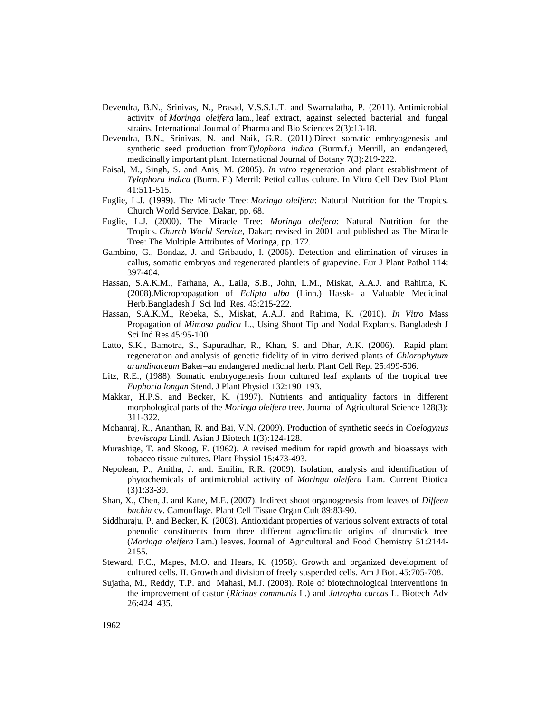- Devendra, B.N., Srinivas, N., Prasad, V.S.S.L.T. and Swarnalatha, P. (2011). Antimicrobial activity of *Moringa oleifera* lam*.,* leaf extract, against selected bacterial and fungal strains. International Journal of Pharma and Bio Sciences 2(3):13-18.
- Devendra, B.N., Srinivas, N. and Naik, G.R. (2011).Direct somatic embryogenesis and synthetic seed production from*Tylophora indica* (Burm.f.) Merrill, an endangered, medicinally important plant. International Journal of Botany 7(3):219-222.
- Faisal, M., Singh, S. and Anis, M. (2005). *In vitro* regeneration and plant establishment of *Tylophora indica* (Burm. F.) Merril: Petiol callus culture. In Vitro Cell Dev Biol Plant 41:511-515.
- Fuglie, L.J. (1999). The Miracle Tree: *Moringa oleifera*: Natural Nutrition for the Tropics. Church World Service, Dakar, pp. 68.
- Fuglie, L.J. (2000). The Miracle Tree: *Moringa oleifera*: Natural Nutrition for the Tropics. *Church World Service*, Dakar; revised in 2001 and published as The Miracle Tree: The Multiple Attributes of Moringa, pp. 172.
- Gambino, G., Bondaz, J. and Gribaudo, I. (2006). Detection and elimination of viruses in callus, somatic embryos and regenerated plantlets of grapevine. Eur J Plant Pathol 114: 397-404.
- Hassan, S.A.K.M., Farhana, A., Laila, S.B., John, L.M., Miskat, A.A.J. and Rahima, K. (2008).Micropropagation of *Eclipta alba* (Linn.) Hassk- a Valuable Medicinal Herb.Bangladesh J Sci Ind Res. 43:215-222.
- Hassan, S.A.K.M., Rebeka, S., Miskat, A.A.J. and Rahima, K. (2010). *In Vitro* Mass Propagation of *Mimosa pudica* L., Using Shoot Tip and Nodal Explants. Bangladesh J Sci Ind Res 45:95-100.
- Latto, S.K., Bamotra, S., Sapuradhar, R., Khan, S. and Dhar, A.K. (2006). Rapid plant regeneration and analysis of genetic fidelity of in vitro derived plants of *Chlorophytum arundinaceum* Baker–an endangered medicnal herb. Plant Cell Rep. 25:499-506.
- Litz, R.E., (1988). Somatic embryogenesis from cultured leaf explants of the tropical tree *Euphoria longan* Stend. J Plant Physiol 132:190–193.
- Makkar, H.P.S. and Becker, K. (1997). Nutrients and antiquality factors in different morphological parts of the *Moringa oleifera* tree. Journal of Agricultural Science 128(3): 311-322.
- Mohanraj, R., Ananthan, R. and Bai, V.N. (2009). Production of synthetic seeds in *Coelogynus breviscapa* Lindl. Asian J Biotech 1(3):124-128.
- Murashige, T. and Skoog, F. (1962). A revised medium for rapid growth and bioassays with tobacco tissue cultures. Plant Physiol 15:473-493.
- Nepolean, P., Anitha, J. and. Emilin, R.R. (2009). Isolation, analysis and identification of phytochemicals of antimicrobial activity of *Moringa oleifera* Lam. Current Biotica (3)1:33-39.
- Shan, X., Chen, J. and Kane, M.E. (2007). Indirect shoot organogenesis from leaves of *Diffeen bachia* cv. Camouflage. Plant Cell Tissue Organ Cult 89:83-90.
- Siddhuraju, P. and Becker, K. (2003). Antioxidant properties of various solvent extracts of total phenolic constituents from three different agroclimatic origins of drumstick tree (*Moringa oleifera* Lam.) leaves. Journal of Agricultural and Food Chemistry 51:2144- 2155.
- Steward, F.C., Mapes, M.O. and Hears, K. (1958). Growth and organized development of cultured cells. II. Growth and division of freely suspended cells. Am J Bot. 45:705-708.
- Sujatha, M., Reddy, T.P. and Mahasi, M.J. (2008). Role of biotechnological interventions in the improvement of castor (*Ricinus communis* L.) and *Jatropha curcas* L. Biotech Adv 26:424–435.

1962